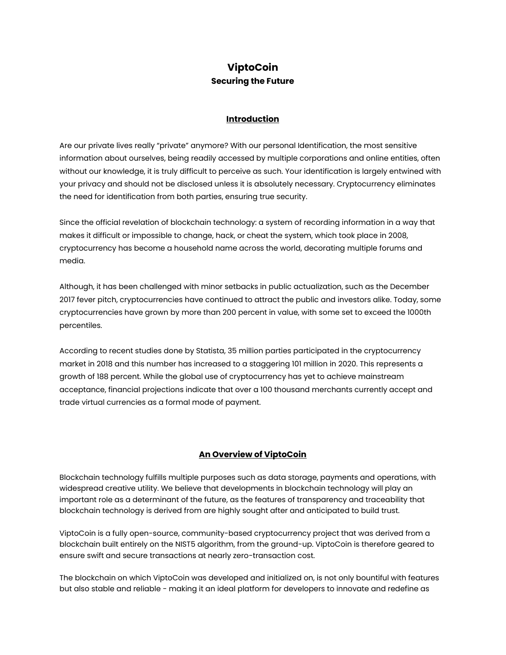# **ViptoCoin Securing the Future**

#### **Introduction**

Are our private lives really "private" anymore? With our personal Identification, the most sensitive information about ourselves, being readily accessed by multiple corporations and online entities, often without our knowledge, it is truly difficult to perceive as such. Your identification is largely entwined with your privacy and should not be disclosed unless it is absolutely necessary. Cryptocurrency eliminates the need for identification from both parties, ensuring true security.

Since the official revelation of blockchain technology: a system of recording information in a way that makes it difficult or impossible to change, hack, or cheat the system, which took place in 2008, cryptocurrency has become a household name across the world, decorating multiple forums and media.

Although, it has been challenged with minor setbacks in public actualization, such as the December 2017 fever pitch, cryptocurrencies have continued to attract the public and investors alike. Today, some cryptocurrencies have grown by more than 200 percent in value, with some set to exceed the 1000th percentiles.

According to recent studies done by Statista, 35 million parties participated in the cryptocurrency market in 2018 and this number has increased to a staggering 101 million in 2020. This represents a growth of 188 percent. While the global use of cryptocurrency has yet to achieve mainstream acceptance, financial projections indicate that over a 100 thousand merchants currently accept and trade virtual currencies as a formal mode of payment.

### **An Overview of ViptoCoin**

Blockchain technology fulfills multiple purposes such as data storage, payments and operations, with widespread creative utility. We believe that developments in blockchain technology will play an important role as a determinant of the future, as the features of transparency and traceability that blockchain technology is derived from are highly sought after and anticipated to build trust.

ViptoCoin is a fully open-source, community-based cryptocurrency project that was derived from a blockchain built entirely on the NIST5 algorithm, from the ground-up. ViptoCoin is therefore geared to ensure swift and secure transactions at nearly zero-transaction cost.

The blockchain on which ViptoCoin was developed and initialized on, is not only bountiful with features but also stable and reliable - making it an ideal platform for developers to innovate and redefine as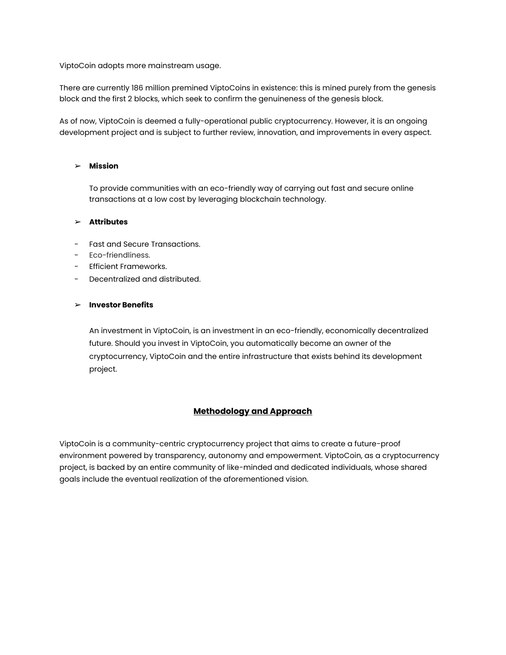ViptoCoin adopts more mainstream usage.

There are currently 186 million premined ViptoCoins in existence: this is mined purely from the genesis block and the first 2 blocks, which seek to confirm the genuineness of the genesis block.

As of now, ViptoCoin is deemed a fully-operational public cryptocurrency. However, it is an ongoing development project and is subject to further review, innovation, and improvements in every aspect.

#### ➢ **Mission**

To provide communities with an eco-friendly way of carrying out fast and secure online transactions at a low cost by leveraging blockchain technology.

#### ➢ **Attributes**

- Fast and Secure Transactions.
- Eco-friendliness.
- Efficient Frameworks.
- Decentralized and distributed.

### ➢ **Investor Benefits**

An investment in ViptoCoin, is an investment in an eco-friendly, economically decentralized future. Should you invest in ViptoCoin, you automatically become an owner of the cryptocurrency, ViptoCoin and the entire infrastructure that exists behind its development project.

## **Methodology and Approach**

ViptoCoin is a community-centric cryptocurrency project that aims to create a future-proof environment powered by transparency, autonomy and empowerment. ViptoCoin, as a cryptocurrency project, is backed by an entire community of like-minded and dedicated individuals, whose shared goals include the eventual realization of the aforementioned vision.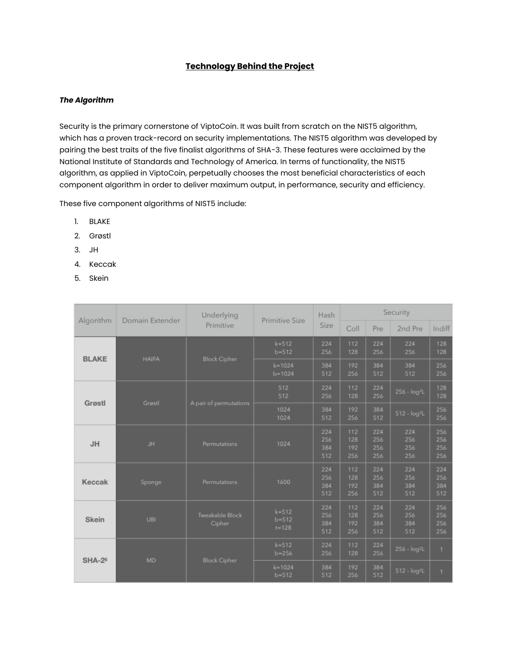## **Technology Behind the Project**

### *The Algorithm*

Security is the primary cornerstone of ViptoCoin. It was built from scratch on the NIST5 algorithm, which has a proven track-record on security implementations. The NIST5 algorithm was developed by pairing the best traits of the five finalist algorithms of SHA-3. These features were acclaimed by the National Institute of Standards and Technology of America. In terms of functionality, the NIST5 algorithm, as applied in ViptoCoin, perpetually chooses the most beneficial characteristics of each component algorithm in order to deliver maximum output, in performance, security and efficiency.

These five component algorithms of NIST5 include:

- 1. BLAKE
- 2. Grøstl
- 3. JH
- 4. Keccak
- 5. Skein

| Algorithm     | Domain Extender | Underlying<br>Primitive          | <b>Primitive Size</b>               | Hash<br><b>Size</b>      | Security                 |                          |                          |                          |
|---------------|-----------------|----------------------------------|-------------------------------------|--------------------------|--------------------------|--------------------------|--------------------------|--------------------------|
|               |                 |                                  |                                     |                          | Coll                     | Pre                      | 2nd Pre                  | Indiff                   |
| <b>BLAKE</b>  | <b>HAIFA</b>    | <b>Block Cipher</b>              | $k = 512$<br>$b = 512$              | 224<br>256               | 112<br>128               | 224<br>256               | 224<br>256               | 128<br>128               |
|               |                 |                                  | $k = 1024$<br>$b = 1024$            | 384<br>512               | 192<br>256               | 384<br>512               | 384<br>512               | 256<br>256               |
| <b>Grøstl</b> | Grøstl          | A pair of permutations           | 512<br>512                          | 224<br>256               | 112<br>128               | 224<br>256               | $256 - log2L$            | 128<br>128               |
|               |                 |                                  | 1024<br>1024                        | 384<br>512               | 192<br>256               | 384<br>512               | $512 - log2L$            | 256<br>256               |
| <b>JH</b>     | JH.             | Permutations                     | 1024                                | 224<br>256<br>384<br>512 | 112<br>128<br>192<br>256 | 224<br>256<br>256<br>256 | 224<br>256<br>256<br>256 | 256<br>256<br>256<br>256 |
| <b>Keccak</b> | Sponge          | Permutations                     | 1600                                | 224<br>256<br>384<br>512 | 112<br>128<br>192<br>256 | 224<br>256<br>384<br>512 | 224<br>256<br>384<br>512 | 224<br>256<br>384<br>512 |
| <b>Skein</b>  | UBI             | <b>Tweakable Block</b><br>Cipher | $k = 512$<br>$b = 512$<br>$t = 128$ | 224<br>256<br>384<br>512 | 112<br>128<br>192<br>256 | 224<br>256<br>384<br>512 | 224<br>256<br>384<br>512 | 256<br>256<br>256<br>256 |
| <b>SHA-26</b> | <b>MD</b>       | <b>Block Cipher</b>              | $k = 512$<br>$b = 256$              | 224<br>256               | 112<br>128               | 224<br>256               | $256 - log2L$            | 1                        |
|               |                 |                                  | $k = 1024$<br>$b = 512$             | 384<br>512               | 192<br>256               | 384<br>512               | $512 - log2L$            | 1                        |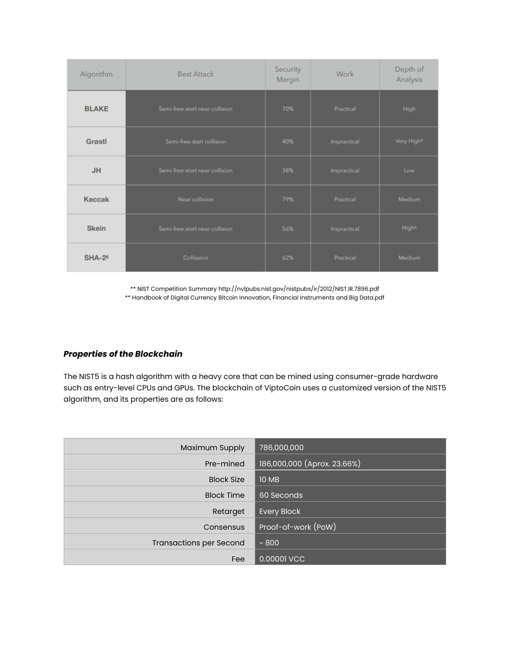| Algorithm                                      | <b>Best Attack</b>             | Security<br>Margin | Work        | Depth of<br>Analysis   |
|------------------------------------------------|--------------------------------|--------------------|-------------|------------------------|
| <b>BLAKE</b><br>Semi-free-start near collision |                                | 70%                | Practical   | <b>High</b>            |
| <b>Grøstl</b><br>Semi-free-start collision     |                                | 40%                | Impractical | Very High <sup>8</sup> |
| <b>JH</b>                                      | Semi-free-start near collision |                    | Impractical | Low                    |
| <b>Keccak</b><br>Near collision                |                                | 79%                | Practical   | <b>Medium</b>          |
| <b>Skein</b>                                   | Semi-free-start near collision | 56%                | Impractical | High <sup>8</sup>      |
| <b>SHA-26</b>                                  | Collission                     | 62%                | Practical   | <b>Medium</b>          |

\*\* NIST Competition Summary http://nvlpubs.nist.gov/nistpubs/ir/2012/NIST.IR.7896.pdf \*\* Handbook of Digital Currency Bitcoin Innovation, Financial Instruments and Big Data.pdf

## *Properties of the Blockchain*

The NIST5 is a hash algorithm with a heavy core that can be mined using consumer-grade hardware such as entry-level CPUs and GPUs. The blockchain of ViptoCoin uses a customized version of the NIST5 algorithm, and its properties are as follows:

| Maximum Supply                 | 786,000,000                 |
|--------------------------------|-----------------------------|
| Pre-mined                      | 186,000,000 (Aprox. 23.66%) |
| <b>Block Size</b>              | <b>10 MB</b>                |
| <b>Block Time</b>              | 60 Seconds                  |
| Retarget                       | <b>Every Block</b>          |
| Consensus                      | Proof-of-work (PoW)         |
| <b>Transactions per Second</b> | ~100                        |
| Fee                            | 0.00001 VCC                 |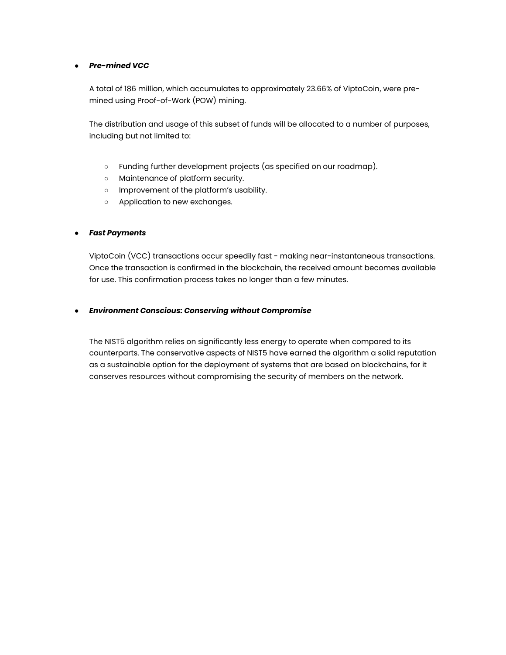#### ● *Pre-mined VCC*

A total of 186 million, which accumulates to approximately 23.66% of ViptoCoin, were premined using Proof-of-Work (POW) mining.

The distribution and usage of this subset of funds will be allocated to a number of purposes, including but not limited to:

- Funding further development projects (as specified on our roadmap).
- Maintenance of platform security.
- Improvement of the platform's usability.
- Application to new exchanges.

#### ● *Fast Payments*

ViptoCoin (VCC) transactions occur speedily fast - making near-instantaneous transactions. Once the transaction is confirmed in the blockchain, the received amount becomes available for use. This confirmation process takes no longer than a few minutes.

#### ● *Environment Conscious: Conserving without Compromise*

The NIST5 algorithm relies on significantly less energy to operate when compared to its counterparts. The conservative aspects of NIST5 have earned the algorithm a solid reputation as a sustainable option for the deployment of systems that are based on blockchains, for it conserves resources without compromising the security of members on the network.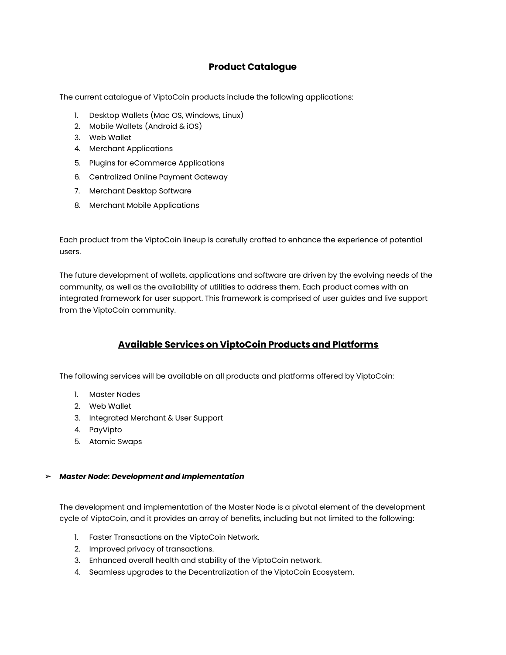## **Product Catalogue**

The current catalogue of ViptoCoin products include the following applications:

- 1. Desktop Wallets (Mac OS, Windows, Linux)
- 2. Mobile Wallets (Android & iOS)
- 3. Web Wallet
- 4. Merchant Applications
- 5. Plugins for eCommerce Applications
- 6. Centralized Online Payment Gateway
- 7. Merchant Desktop Software
- 8. Merchant Mobile Applications

Each product from the ViptoCoin lineup is carefully crafted to enhance the experience of potential users.

The future development of wallets, applications and software are driven by the evolving needs of the community, as well as the availability of utilities to address them. Each product comes with an integrated framework for user support. This framework is comprised of user guides and live support from the ViptoCoin community.

## **Available Services on ViptoCoin Products and Platforms**

The following services will be available on all products and platforms offered by ViptoCoin:

- 1. Master Nodes
- 2. Web Wallet
- 3. Integrated Merchant & User Support
- 4. PayVipto
- 5. Atomic Swaps

#### ➢ *Master Node: Development and Implementation*

The development and implementation of the Master Node is a pivotal element of the development cycle of ViptoCoin, and it provides an array of benefits, including but not limited to the following:

- 1. Faster Transactions on the ViptoCoin Network.
- 2. Improved privacy of transactions.
- 3. Enhanced overall health and stability of the ViptoCoin network.
- 4. Seamless upgrades to the Decentralization of the ViptoCoin Ecosystem.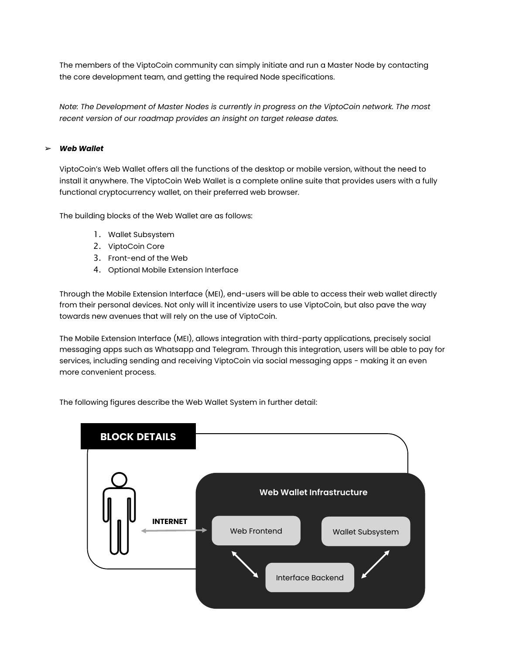The members of the ViptoCoin community can simply initiate and run a Master Node by contacting the core development team, and getting the required Node specifications.

*Note: The Development of Master Nodes is currently in progress on the ViptoCoin network. The most recent version of our roadmap provides an insight on target release dates.* 

#### ➢ *Web Wallet*

ViptoCoin's Web Wallet offers all the functions of the desktop or mobile version, without the need to install it anywhere. The ViptoCoin Web Wallet is a complete online suite that provides users with a fully functional cryptocurrency wallet, on their preferred web browser.

The building blocks of the Web Wallet are as follows:

- 1. Wallet Subsystem
- 2. ViptoCoin Core
- 3. Front-end of the Web
- 4. Optional Mobile Extension Interface

Through the Mobile Extension Interface (MEI), end-users will be able to access their web wallet directly from their personal devices. Not only will it incentivize users to use ViptoCoin, but also pave the way towards new avenues that will rely on the use of ViptoCoin.

The Mobile Extension Interface (MEI), allows integration with third-party applications, precisely social messaging apps such as Whatsapp and Telegram. Through this integration, users will be able to pay for services, including sending and receiving ViptoCoin via social messaging apps - making it an even more convenient process.

The following figures describe the Web Wallet System in further detail:

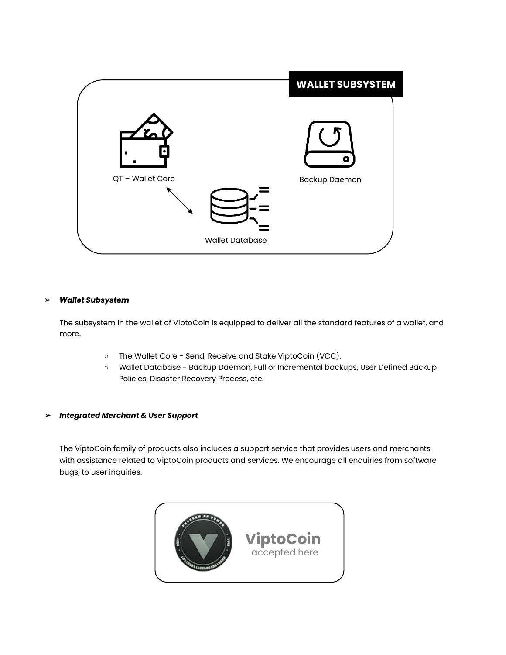

#### ➢ *Wallet Subsystem*

The subsystem in the wallet of ViptoCoin is equipped to deliver all the standard features of a wallet, and more.

- The Wallet Core Send, Receive and Stake ViptoCoin (VCC).
- Wallet Database Backup Daemon, Full or Incremental backups, User Defined Backup Policies, Disaster Recovery Process, etc.

#### ➢ *Integrated Merchant & User Support*

The ViptoCoin family of products also includes a support service that provides users and merchants with assistance related to ViptoCoin products and services. We encourage all enquiries from software bugs, to user inquiries.

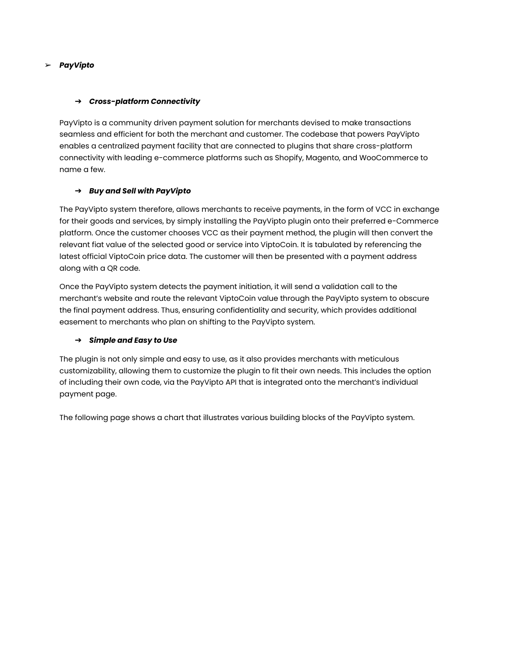### ➢ *PayVipto*

#### ➔ *Cross-platform Connectivity*

PayVipto is a community driven payment solution for merchants devised to make transactions seamless and efficient for both the merchant and customer. The codebase that powers PayVipto enables a centralized payment facility that are connected to plugins that share cross-platform connectivity with leading e-commerce platforms such as Shopify, Magento, and WooCommerce to name a few.

#### ➔ *Buy and Sell with PayVipto*

The PayVipto system therefore, allows merchants to receive payments, in the form of VCC in exchange for their goods and services, by simply installing the PayVipto plugin onto their preferred e-Commerce platform. Once the customer chooses VCC as their payment method, the plugin will then convert the relevant fiat value of the selected good or service into ViptoCoin. It is tabulated by referencing the latest official ViptoCoin price data. The customer will then be presented with a payment address along with a QR code.

Once the PayVipto system detects the payment initiation, it will send a validation call to the merchant's website and route the relevant ViptoCoin value through the PayVipto system to obscure the final payment address. Thus, ensuring confidentiality and security, which provides additional easement to merchants who plan on shifting to the PayVipto system.

#### ➔ *Simple and Easy to Use*

The plugin is not only simple and easy to use, as it also provides merchants with meticulous customizability, allowing them to customize the plugin to fit their own needs. This includes the option of including their own code, via the PayVipto API that is integrated onto the merchant's individual payment page.

The following page shows a chart that illustrates various building blocks of the PayVipto system.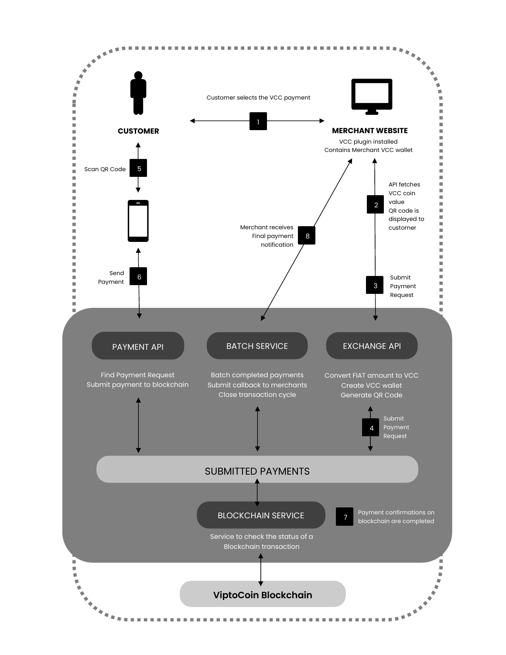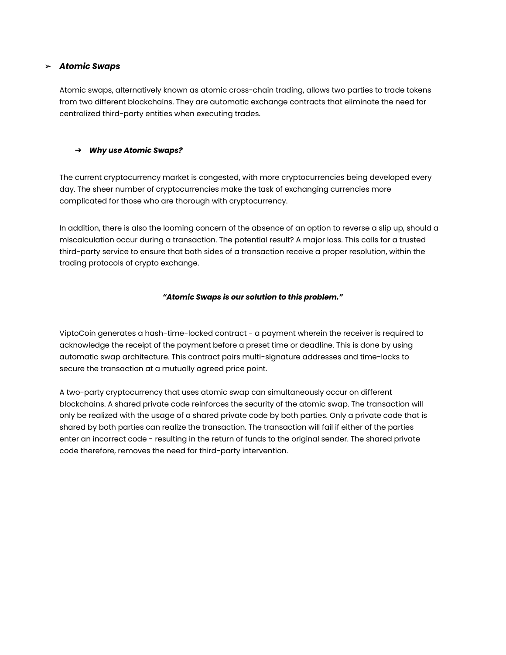#### ➢ *Atomic Swaps*

Atomic swaps, alternatively known as atomic cross-chain trading, allows two parties to trade tokens from two different blockchains. They are automatic exchange contracts that eliminate the need for centralized third-party entities when executing trades.

### ➔ *Why use Atomic Swaps?*

The current cryptocurrency market is congested, with more cryptocurrencies being developed every day. The sheer number of cryptocurrencies make the task of exchanging currencies more complicated for those who are thorough with cryptocurrency.

In addition, there is also the looming concern of the absence of an option to reverse a slip up, should a miscalculation occur during a transaction. The potential result? A major loss. This calls for a trusted third-party service to ensure that both sides of a transaction receive a proper resolution, within the trading protocols of crypto exchange.

#### *"Atomic Swaps is our solution to this problem."*

ViptoCoin generates a hash-time-locked contract - a payment wherein the receiver is required to acknowledge the receipt of the payment before a preset time or deadline. This is done by using automatic swap architecture. This contract pairs multi-signature addresses and time-locks to secure the transaction at a mutually agreed price point.

A two-party cryptocurrency that uses atomic swap can simultaneously occur on different blockchains. A shared private code reinforces the security of the atomic swap. The transaction will only be realized with the usage of a shared private code by both parties. Only a private code that is shared by both parties can realize the transaction. The transaction will fail if either of the parties enter an incorrect code - resulting in the return of funds to the original sender. The shared private code therefore, removes the need for third-party intervention.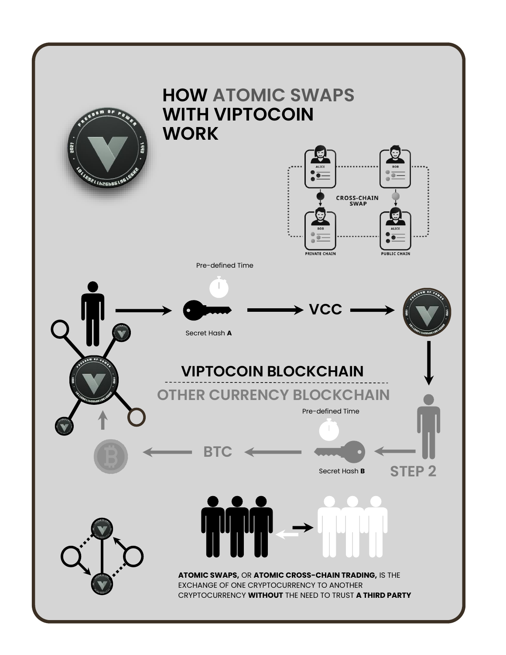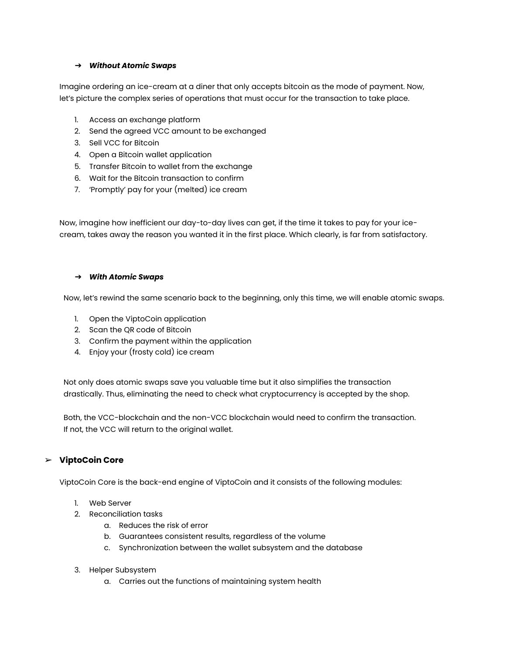#### ➔ *Without Atomic Swaps*

Imagine ordering an ice-cream at a diner that only accepts bitcoin as the mode of payment. Now, let's picture the complex series of operations that must occur for the transaction to take place.

- 1. Access an exchange platform
- 2. Send the agreed VCC amount to be exchanged
- 3. Sell VCC for Bitcoin
- 4. Open a Bitcoin wallet application
- 5. Transfer Bitcoin to wallet from the exchange
- 6. Wait for the Bitcoin transaction to confirm
- 7. 'Promptly' pay for your (melted) ice cream

Now, imagine how inefficient our day-to-day lives can get, if the time it takes to pay for your icecream, takes away the reason you wanted it in the first place. Which clearly, is far from satisfactory.

#### ➔ *With Atomic Swaps*

Now, let's rewind the same scenario back to the beginning, only this time, we will enable atomic swaps.

- 1. Open the ViptoCoin application
- 2. Scan the QR code of Bitcoin
- 3. Confirm the payment within the application
- 4. Enjoy your (frosty cold) ice cream

Not only does atomic swaps save you valuable time but it also simplifies the transaction drastically. Thus, eliminating the need to check what cryptocurrency is accepted by the shop.

Both, the VCC-blockchain and the non-VCC blockchain would need to confirm the transaction. If not, the VCC will return to the original wallet.

### ➢ **ViptoCoin Core**

ViptoCoin Core is the back-end engine of ViptoCoin and it consists of the following modules:

- 1. Web Server
- 2. Reconciliation tasks
	- a. Reduces the risk of error
	- b. Guarantees consistent results, regardless of the volume
	- c. Synchronization between the wallet subsystem and the database
- 3. Helper Subsystem
	- a. Carries out the functions of maintaining system health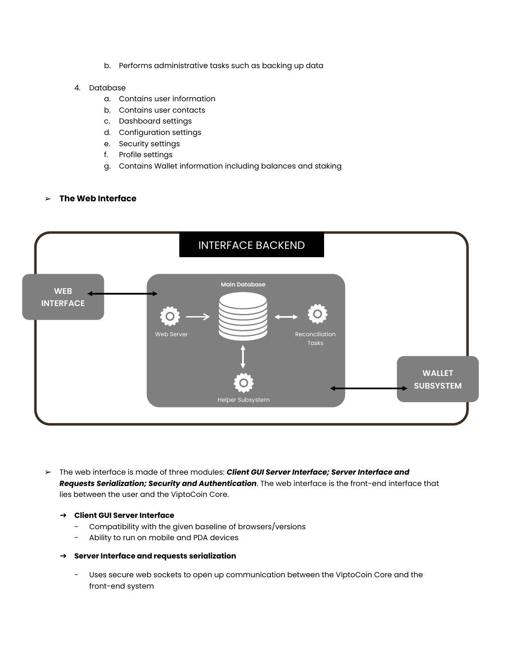b. Performs administrative tasks such as backing up data

#### 4. Database

- a. Contains user information
- b. Contains user contacts
- c. Dashboard settings
- d. Configuration settings
- e. Security settings
- f. Profile settings
- g. Contains Wallet information including balances and staking

#### ➢ **The Web Interface**



➢ The web interface is made of three modules: *Client GUI Server Interface; Server Interface and Requests Serialization; Security and Authentication*. The web interface is the front-end interface that lies between the user and the ViptoCoin Core.

#### ➔ **Client GUI Server Interface**

- Compatibility with the given baseline of browsers/versions
- Ability to run on mobile and PDA devices

#### ➔ **Server Interface and requests serialization**

- Uses secure web sockets to open up communication between the ViptoCoin Core and the front-end system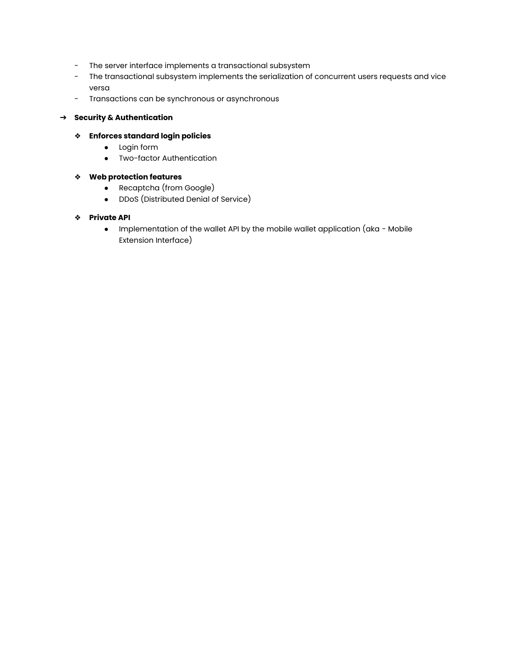- The server interface implements a transactional subsystem
- The transactional subsystem implements the serialization of concurrent users requests and vice versa
- Transactions can be synchronous or asynchronous

#### ➔ **Security & Authentication**

- ❖ **Enforces standard login policies**
	- Login form
	- Two-factor Authentication

#### ❖ **Web protection features**

- Recaptcha (from Google)
- DDoS (Distributed Denial of Service)

#### ❖ **Private API**

● Implementation of the wallet API by the mobile wallet application (aka - Mobile Extension Interface)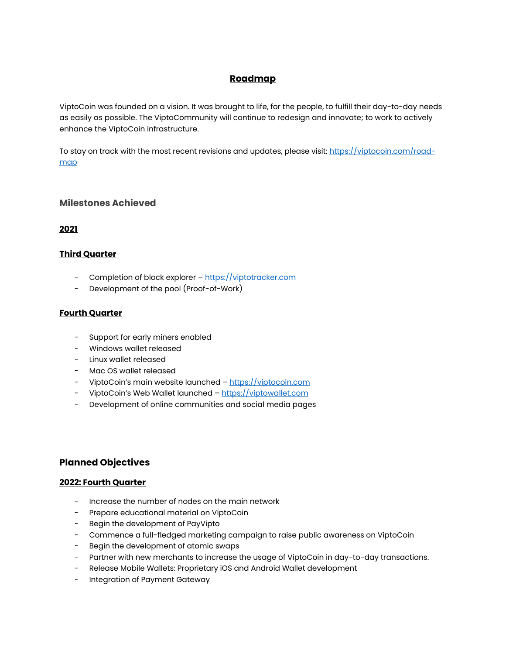## **Roadmap**

ViptoCoin was founded on a vision. It was brought to life, for the people, to fulfill their day-to-day needs as easily as possible. The ViptoCommunity will continue to redesign and innovate; to work to actively enhance the ViptoCoin infrastructure.

To stay on track with the most recent revisions and updates, please visit: [https://viptocoin.com/road](https://viptocoin.com/road-map)[map](https://viptocoin.com/road-map)

### **Milestones Achieved**

### **2021**

### **Third Quarter**

- Completion of block explorer [https://viptotracker.com](https://viptotracker.com/)
- Development of the pool (Proof-of-Work)

## **Fourth Quarter**

- Support for early miners enabled
- Windows wallet released
- Linux wallet released
- Mac OS wallet released
- ViptoCoin's main website launched [https://viptocoin.com](https://viptocoin.com/)
- ViptoCoin's Web Wallet launched [https://viptowallet.com](https://viptowallet.com/)
- Development of online communities and social media pages

## **Planned Objectives**

#### **2022: Fourth Quarter**

- Increase the number of nodes on the main network
- Prepare educational material on ViptoCoin
- Begin the development of PayVipto
- Commence a full-fledged marketing campaign to raise public awareness on ViptoCoin
- Begin the development of atomic swaps
- Partner with new merchants to increase the usage of ViptoCoin in day-to-day transactions.
- Release Mobile Wallets: Proprietary iOS and Android Wallet development
- Integration of Payment Gateway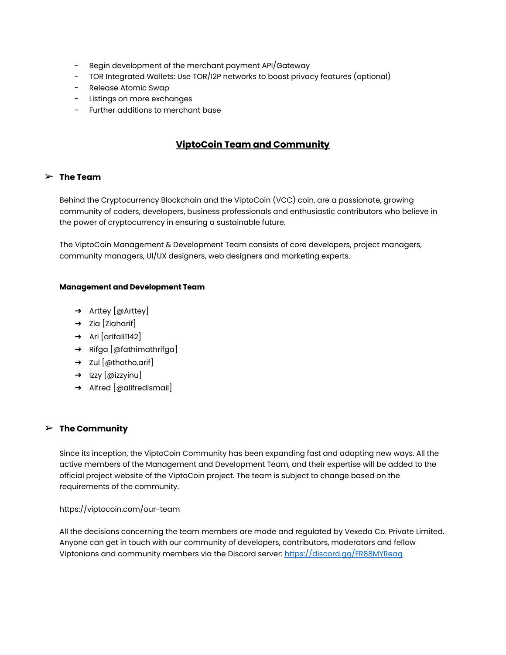- Begin development of the merchant payment API/Gateway
- TOR Integrated Wallets: Use TOR/I2P networks to boost privacy features (optional)
- Release Atomic Swap
- Listings on more exchanges
- Further additions to merchant base

## **ViptoCoin Team and Community**

#### ➢ **The Team**

Behind the Cryptocurrency Blockchain and the ViptoCoin (VCC) coin, are a passionate, growing community of coders, developers, business professionals and enthusiastic contributors who believe in the power of cryptocurrency in ensuring a sustainable future.

The ViptoCoin Management & Development Team consists of core developers, project managers, community managers, UI/UX designers, web designers and marketing experts.

#### **Management and Development Team**

- ➔ Arttey [@Arttey]
- $\rightarrow$  Zia [Ziaharif]
- ➔ Ari [arifali1142]
- ➔ Rifga [@fathimathrifga]
- $\rightarrow$  Zul [@thotho.arif]
- → Izzy [@izzyinu]
- ➔ Alfred [@alifredismail]

#### ➢ **The Community**

Since its inception, the ViptoCoin Community has been expanding fast and adapting new ways. All the active members of the Management and Development Team, and their expertise will be added to the official project website of the ViptoCoin project. The team is subject to change based on the requirements of the community.

#### https://viptocoin.com/our-team

All the decisions concerning the team members are made and regulated by Vexeda Co. Private Limited. Anyone can get in touch with our community of developers, contributors, moderators and fellow Viptonians and community members via the Discord server:<https://discord.gg/FR88MYReag>